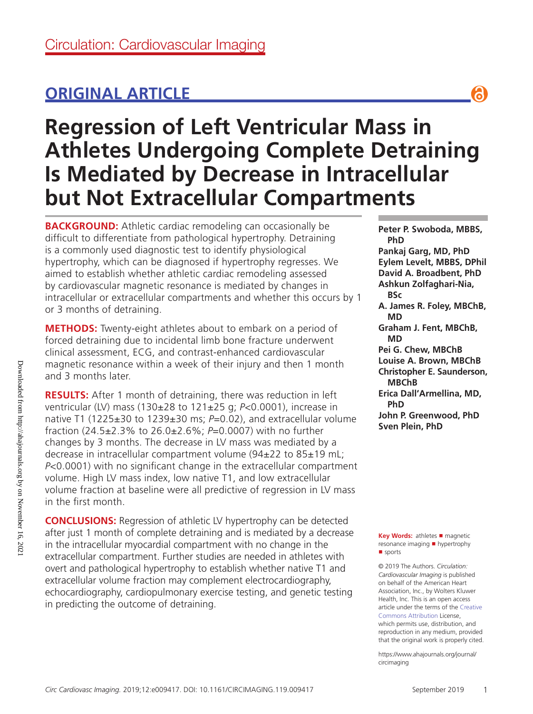## **ORIGINAL ARTICLE**

# **Regression of Left Ventricular Mass in Athletes Undergoing Complete Detraining Is Mediated by Decrease in Intracellular but Not Extracellular Compartments**

**BACKGROUND:** Athletic cardiac remodeling can occasionally be difficult to differentiate from pathological hypertrophy. Detraining is a commonly used diagnostic test to identify physiological hypertrophy, which can be diagnosed if hypertrophy regresses. We aimed to establish whether athletic cardiac remodeling assessed by cardiovascular magnetic resonance is mediated by changes in intracellular or extracellular compartments and whether this occurs by 1 or 3 months of detraining.

**METHODS:** Twenty-eight athletes about to embark on a period of forced detraining due to incidental limb bone fracture underwent clinical assessment, ECG, and contrast-enhanced cardiovascular magnetic resonance within a week of their injury and then 1 month and 3 months later.

**RESULTS:** After 1 month of detraining, there was reduction in left ventricular (LV) mass (130±28 to 121±25 g; *P*<0.0001), increase in native T1 (1225±30 to 1239±30 ms; P=0.02), and extracellular volume fraction (24.5±2.3% to 26.0±2.6%; *P*=0.0007) with no further changes by 3 months. The decrease in LV mass was mediated by a decrease in intracellular compartment volume (94±22 to 85±19 mL; *P*<0.0001) with no significant change in the extracellular compartment volume. High LV mass index, low native T1, and low extracellular volume fraction at baseline were all predictive of regression in LV mass in the first month.

**CONCLUSIONS:** Regression of athletic LV hypertrophy can be detected after just 1 month of complete detraining and is mediated by a decrease in the intracellular myocardial compartment with no change in the extracellular compartment. Further studies are needed in athletes with overt and pathological hypertrophy to establish whether native T1 and extracellular volume fraction may complement electrocardiography, echocardiography, cardiopulmonary exercise testing, and genetic testing in predicting the outcome of detraining.

**Peter P. Swoboda, MBBS, PhD Pankaj Garg, MD, PhD Eylem Levelt, MBBS, DPhil David A. Broadbent, PhD Ashkun Zolfaghari-Nia, BSc A. James R. Foley, MBChB, MD Graham J. Fent, MBChB, MD Pei G. Chew, MBChB Louise A. Brown, MBChB Christopher E. Saunderson, MBChB Erica Dall'Armellina, MD, PhD John P. Greenwood, PhD Sven Plein, PhD**

**Key Words: athletes ■ magnetic** resonance imaging ■ hypertrophy ■ sports

© 2019 The Authors. *Circulation: Cardiovascular Imaging* is published on behalf of the American Heart Association, Inc., by Wolters Kluwer Health, Inc. This is an open access article under the terms of the Creative Commons Attribution License, which permits use, distribution, and reproduction in any medium, provided that the original work is properly cited.

https://www.ahajournals.org/journal/ circimaging

႕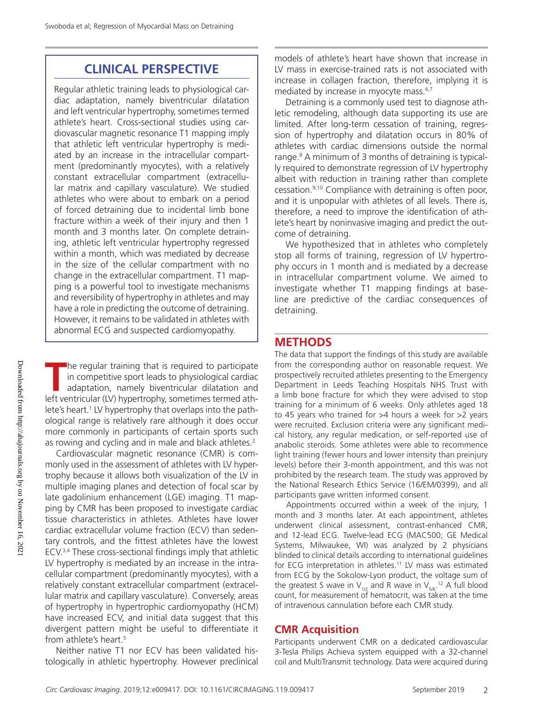## **CLINICAL PERSPECTIVE**

Regular athletic training leads to physiological cardiac adaptation, namely biventricular dilatation and left ventricular hypertrophy, sometimes termed athlete's heart. Cross-sectional studies using cardiovascular magnetic resonance T1 mapping imply that athletic left ventricular hypertrophy is mediated by an increase in the intracellular compartment (predominantly myocytes), with a relatively constant extracellular compartment (extracellular matrix and capillary vasculature). We studied athletes who were about to embark on a period of forced detraining due to incidental limb bone fracture within a week of their injury and then 1 month and 3 months later. On complete detraining, athletic left ventricular hypertrophy regressed within a month, which was mediated by decrease in the size of the cellular compartment with no change in the extracellular compartment. T1 mapping is a powerful tool to investigate mechanisms and reversibility of hypertrophy in athletes and may have a role in predicting the outcome of detraining. However, it remains to be validated in athletes with abnormal ECG and suspected cardiomyopathy.

**T**he regular training that is required to participate in competitive sport leads to physiological cardiac adaptation, namely biventricular dilatation and left ventricular (LV) hypertrophy, sometimes termed athlete's heart.<sup>1</sup> LV hypertrophy that overlaps into the pathological range is relatively rare although it does occur more commonly in participants of certain sports such as rowing and cycling and in male and black athletes.<sup>2</sup>

Cardiovascular magnetic resonance (CMR) is commonly used in the assessment of athletes with LV hypertrophy because it allows both visualization of the LV in multiple imaging planes and detection of focal scar by late gadolinium enhancement (LGE) imaging. T1 mapping by CMR has been proposed to investigate cardiac tissue characteristics in athletes. Athletes have lower cardiac extracellular volume fraction (ECV) than sedentary controls, and the fittest athletes have the lowest ECV.3,4 These cross-sectional findings imply that athletic LV hypertrophy is mediated by an increase in the intracellular compartment (predominantly myocytes), with a relatively constant extracellular compartment (extracellular matrix and capillary vasculature). Conversely, areas of hypertrophy in hypertrophic cardiomyopathy (HCM) have increased ECV, and initial data suggest that this divergent pattern might be useful to differentiate it from athlete's heart.<sup>5</sup>

Neither native T1 nor ECV has been validated histologically in athletic hypertrophy. However preclinical

models of athlete's heart have shown that increase in LV mass in exercise-trained rats is not associated with increase in collagen fraction, therefore, implying it is mediated by increase in myocyte mass.<sup>6,7</sup>

Detraining is a commonly used test to diagnose athletic remodeling, although data supporting its use are limited. After long-term cessation of training, regression of hypertrophy and dilatation occurs in 80% of athletes with cardiac dimensions outside the normal range.8 A minimum of 3 months of detraining is typically required to demonstrate regression of LV hypertrophy albeit with reduction in training rather than complete cessation.9,10 Compliance with detraining is often poor, and it is unpopular with athletes of all levels. There is, therefore, a need to improve the identification of athlete's heart by noninvasive imaging and predict the outcome of detraining.

We hypothesized that in athletes who completely stop all forms of training, regression of LV hypertrophy occurs in 1 month and is mediated by a decrease in intracellular compartment volume. We aimed to investigate whether T1 mapping findings at baseline are predictive of the cardiac consequences of detraining.

## **METHODS**

The data that support the findings of this study are available from the corresponding author on reasonable request. We prospectively recruited athletes presenting to the Emergency Department in Leeds Teaching Hospitals NHS Trust with a limb bone fracture for which they were advised to stop training for a minimum of 6 weeks. Only athletes aged 18 to 45 years who trained for >4 hours a week for >2 years were recruited. Exclusion criteria were any significant medical history, any regular medication, or self-reported use of anabolic steroids. Some athletes were able to recommence light training (fewer hours and lower intensity than preinjury levels) before their 3-month appointment, and this was not prohibited by the research team. The study was approved by the National Research Ethics Service (16/EM/0399), and all participants gave written informed consent.

Appointments occurred within a week of the injury, 1 month and 3 months later. At each appointment, athletes underwent clinical assessment, contrast-enhanced CMR, and 12-lead ECG. Twelve-lead ECG (MAC500; GE Medical Systems, Milwaukee, WI) was analyzed by 2 physicians blinded to clinical details according to international guidelines for ECG interpretation in athletes.<sup>11</sup> LV mass was estimated from ECG by the Sokolow-Lyon product, the voltage sum of the greatest S wave in  $V_{1/2}$  and R wave in  $V_{5/6}$ .<sup>12</sup> A full blood count, for measurement of hematocrit, was taken at the time of intravenous cannulation before each CMR study.

#### **CMR Acquisition**

Participants underwent CMR on a dedicated cardiovascular 3-Tesla Philips Achieva system equipped with a 32-channel coil and MultiTransmit technology. Data were acquired during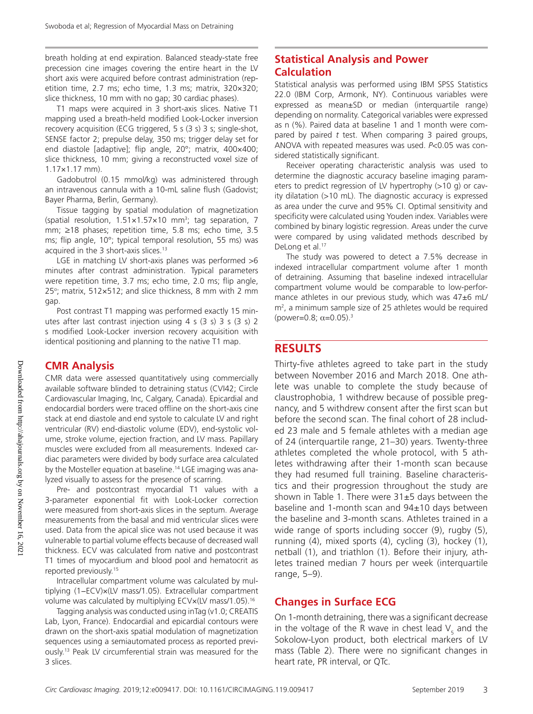breath holding at end expiration. Balanced steady-state free precession cine images covering the entire heart in the LV short axis were acquired before contrast administration (repetition time, 2.7 ms; echo time, 1.3 ms; matrix, 320×320; slice thickness, 10 mm with no gap; 30 cardiac phases).

T1 maps were acquired in 3 short-axis slices. Native T1 mapping used a breath-held modified Look-Locker inversion recovery acquisition (ECG triggered, 5 s (3 s) 3 s; single-shot, SENSE factor 2; prepulse delay, 350 ms; trigger delay set for end diastole [adaptive]; flip angle, 20°; matrix, 400×400; slice thickness, 10 mm; giving a reconstructed voxel size of 1.17×1.17 mm).

Gadobutrol (0.15 mmol/kg) was administered through an intravenous cannula with a 10-mL saline flush (Gadovist; Bayer Pharma, Berlin, Germany).

Tissue tagging by spatial modulation of magnetization (spatial resolution,  $1.51 \times 1.57 \times 10$  mm<sup>3</sup>; tag separation, 7 mm; ≥18 phases; repetition time, 5.8 ms; echo time, 3.5 ms; flip angle, 10°; typical temporal resolution, 55 ms) was acquired in the 3 short-axis slices.<sup>13</sup>

LGE in matching LV short-axis planes was performed >6 minutes after contrast administration. Typical parameters were repetition time, 3.7 ms; echo time, 2.0 ms; flip angle,  $25^{\circ}$ ; matrix, 512×512; and slice thickness, 8 mm with 2 mm gap.

Post contrast T1 mapping was performed exactly 15 minutes after last contrast injection using 4 s (3 s) 3 s (3 s) 2 s modified Look-Locker inversion recovery acquisition with identical positioning and planning to the native T1 map.

#### **CMR Analysis**

CMR data were assessed quantitatively using commercially available software blinded to detraining status (CVI42; Circle Cardiovascular Imaging, Inc, Calgary, Canada). Epicardial and endocardial borders were traced offline on the short-axis cine stack at end diastole and end systole to calculate LV and right ventricular (RV) end-diastolic volume (EDV), end-systolic volume, stroke volume, ejection fraction, and LV mass. Papillary muscles were excluded from all measurements. Indexed cardiac parameters were divided by body surface area calculated by the Mosteller equation at baseline.14 LGE imaging was analyzed visually to assess for the presence of scarring.

Pre- and postcontrast myocardial T1 values with a 3-parameter exponential fit with Look-Locker correction were measured from short-axis slices in the septum. Average measurements from the basal and mid ventricular slices were used. Data from the apical slice was not used because it was vulnerable to partial volume effects because of decreased wall thickness. ECV was calculated from native and postcontrast T1 times of myocardium and blood pool and hematocrit as reported previously.15

Intracellular compartment volume was calculated by multiplying (1−ECV)×(LV mass/1.05). Extracellular compartment volume was calculated by multiplying ECV×(LV mass/1.05).16

Tagging analysis was conducted using inTag (v1.0; CREATIS Lab, Lyon, France). Endocardial and epicardial contours were drawn on the short-axis spatial modulation of magnetization sequences using a semiautomated process as reported previously.13 Peak LV circumferential strain was measured for the 3 slices.

## **Statistical Analysis and Power Calculation**

Statistical analysis was performed using IBM SPSS Statistics 22.0 (IBM Corp, Armonk, NY). Continuous variables were expressed as mean±SD or median (interquartile range) depending on normality. Categorical variables were expressed as n (%). Paired data at baseline 1 and 1 month were compared by paired *t* test. When comparing 3 paired groups, ANOVA with repeated measures was used. *P*<0.05 was considered statistically significant.

Receiver operating characteristic analysis was used to determine the diagnostic accuracy baseline imaging parameters to predict regression of LV hypertrophy (>10 g) or cavity dilatation (>10 mL). The diagnostic accuracy is expressed as area under the curve and 95% CI. Optimal sensitivity and specificity were calculated using Youden index. Variables were combined by binary logistic regression. Areas under the curve were compared by using validated methods described by DeLong et al.<sup>17</sup>

The study was powered to detect a 7.5% decrease in indexed intracellular compartment volume after 1 month of detraining. Assuming that baseline indexed intracellular compartment volume would be comparable to low-performance athletes in our previous study, which was 47±6 mL/ m2 , a minimum sample size of 25 athletes would be required (power=0.8;  $\alpha$ =0.05).<sup>3</sup>

## **RESULTS**

Thirty-five athletes agreed to take part in the study between November 2016 and March 2018. One athlete was unable to complete the study because of claustrophobia, 1 withdrew because of possible pregnancy, and 5 withdrew consent after the first scan but before the second scan. The final cohort of 28 included 23 male and 5 female athletes with a median age of 24 (interquartile range, 21–30) years. Twenty-three athletes completed the whole protocol, with 5 athletes withdrawing after their 1-month scan because they had resumed full training. Baseline characteristics and their progression throughout the study are shown in Table 1. There were  $31\pm5$  days between the baseline and 1-month scan and  $94\pm10$  days between the baseline and 3-month scans. Athletes trained in a wide range of sports including soccer (9), rugby (5), running (4), mixed sports (4), cycling (3), hockey (1), netball (1), and triathlon (1). Before their injury, athletes trained median 7 hours per week (interquartile range, 5–9).

#### **Changes in Surface ECG**

On 1-month detraining, there was a significant decrease in the voltage of the R wave in chest lead  $\mathsf{V}_\mathsf{5}$  and the Sokolow-Lyon product, both electrical markers of LV mass (Table 2). There were no significant changes in heart rate, PR interval, or QTc.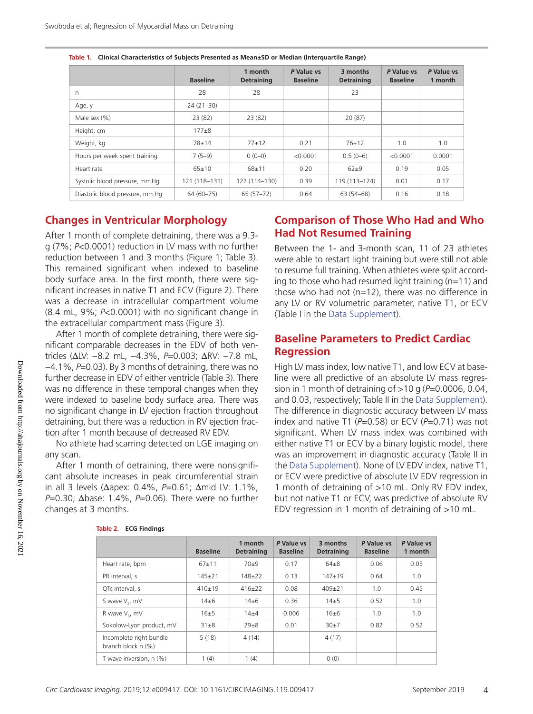|                                 | <b>Baseline</b> | 1 month<br><b>Detraining</b> | P Value vs<br><b>Baseline</b> | 3 months<br><b>Detraining</b> | P Value vs<br><b>Baseline</b> | P Value vs<br>1 month |
|---------------------------------|-----------------|------------------------------|-------------------------------|-------------------------------|-------------------------------|-----------------------|
| n                               | 28              | 28                           |                               | 23                            |                               |                       |
| Age, y                          | $24(21-30)$     |                              |                               |                               |                               |                       |
| Male sex (%)                    | 23(82)          | 23(82)                       |                               | 20 (87)                       |                               |                       |
| Height, cm                      | $177 + 8$       |                              |                               |                               |                               |                       |
| Weight, kg                      | $78 + 14$       | $77+12$                      | 0.21                          | $76 + 12$                     | 1.0                           | 1.0                   |
| Hours per week spent training   | $7(5-9)$        | $0(0-0)$                     | < 0.0001                      | $0.5(0-6)$                    | < 0.0001                      | 0.0001                |
| Heart rate                      | $65+10$         | $68 + 11$                    | 0.20                          | $62 + 9$                      | 0.19                          | 0.05                  |
| Systolic blood pressure, mm Hq  | 121 (118-131)   | 122 (114-130)                | 0.39                          | 119 (113-124)                 | 0.01                          | 0.17                  |
| Diastolic blood pressure, mm Hq | 64 (60-75)      | $65(57-72)$                  | 0.64                          | 63 (54–68)                    | 0.16                          | 0.18                  |

|  | Table 1. Clinical Characteristics of Subjects Presented as Mean±SD or Median (Interquartile Range) |  |
|--|----------------------------------------------------------------------------------------------------|--|
|--|----------------------------------------------------------------------------------------------------|--|

#### **Changes in Ventricular Morphology**

After 1 month of complete detraining, there was a 9.3 g (7%; *P*<0.0001) reduction in LV mass with no further reduction between 1 and 3 months (Figure 1; Table 3). This remained significant when indexed to baseline body surface area. In the first month, there were significant increases in native T1 and ECV (Figure 2). There was a decrease in intracellular compartment volume (8.4 mL, 9%; *P*<0.0001) with no significant change in the extracellular compartment mass (Figure 3).

After 1 month of complete detraining, there were significant comparable decreases in the EDV of both ventricles (∆LV: −8.2 mL, −4.3%, *P*=0.003; ∆RV: −7.8 mL, −4.1%, *P*=0.03). By 3 months of detraining, there was no further decrease in EDV of either ventricle (Table 3). There was no difference in these temporal changes when they were indexed to baseline body surface area. There was no significant change in LV ejection fraction throughout detraining, but there was a reduction in RV ejection fraction after 1 month because of decreased RV EDV.

No athlete had scarring detected on LGE imaging on any scan.

After 1 month of detraining, there were nonsignificant absolute increases in peak circumferential strain in all 3 levels (∆apex: 0.4%, *P*=0.61; ∆mid LV: 1.1%, *P*=0.30; ∆base: 1.4%, *P*=0.06). There were no further changes at 3 months.

## **Comparison of Those Who Had and Who Had Not Resumed Training**

Between the 1- and 3-month scan, 11 of 23 athletes were able to restart light training but were still not able to resume full training. When athletes were split according to those who had resumed light training  $(n=11)$  and those who had not (n=12), there was no difference in any LV or RV volumetric parameter, native T1, or ECV (Table I in the Data Supplement).

## **Baseline Parameters to Predict Cardiac Regression**

High LV mass index, low native T1, and low ECV at baseline were all predictive of an absolute LV mass regression in 1 month of detraining of >10 g (*P*=0.0006, 0.04, and 0.03, respectively; Table II in the Data Supplement). The difference in diagnostic accuracy between LV mass index and native T1 (*P*=0.58) or ECV (*P*=0.71) was not significant. When LV mass index was combined with either native T1 or ECV by a binary logistic model, there was an improvement in diagnostic accuracy (Table II in the Data Supplement). None of LV EDV index, native T1, or ECV were predictive of absolute LV EDV regression in 1 month of detraining of >10 mL. Only RV EDV index, but not native T1 or ECV, was predictive of absolute RV EDV regression in 1 month of detraining of >10 mL.

|                                               | <b>Baseline</b> | 1 month<br><b>Detraining</b> | P Value vs<br><b>Baseline</b> | 3 months<br><b>Detraining</b> | P Value vs<br><b>Baseline</b> | P Value vs<br>1 month |
|-----------------------------------------------|-----------------|------------------------------|-------------------------------|-------------------------------|-------------------------------|-----------------------|
| Heart rate, bpm                               | $67 + 11$       | 70±9                         | 0.17                          | $64 + 8$                      | 0.06                          | 0.05                  |
| PR interval, s                                | $145 + 21$      | $148 + 22$                   | 0.13                          | $147 + 19$                    | 0.64                          | 1.0                   |
| QTc interval, s                               | $410+19$        | $416+22$                     | 0.08                          | $409 + 21$                    | 1.0                           | 0.45                  |
| S wave V <sub>2</sub> , mV                    | $14 + 6$        | $14 + 6$                     | 0.36                          | $14 + 5$                      | 0.52                          | 1.0                   |
| R wave V <sub>c</sub> , mV                    | 16±5            | $14\pm4$                     | 0.006                         | 16±6                          | 1.0                           | 1.0                   |
| Sokolow-Lyon product, mV                      | $31\pm8$        | $29 + 8$                     | 0.01                          | 30±7                          | 0.82                          | 0.52                  |
| Incomplete right bundle<br>branch block n (%) | 5(18)           | 4(14)                        |                               | 4(17)                         |                               |                       |
| T wave inversion, n (%)                       | 1(4)            | 1(4)                         |                               | 0(0)                          |                               |                       |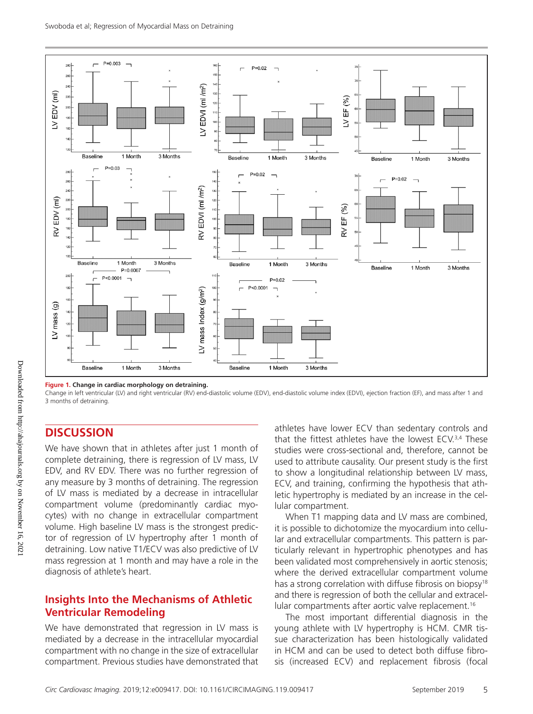

**Figure 1. Change in cardiac morphology on detraining.**

Change in left ventricular (LV) and right ventricular (RV) end-diastolic volume (EDV), end-diastolic volume index (EDVI), ejection fraction (EF), and mass after 1 and 3 months of detraining.

#### **DISCUSSION**

We have shown that in athletes after just 1 month of complete detraining, there is regression of LV mass, LV EDV, and RV EDV. There was no further regression of any measure by 3 months of detraining. The regression of LV mass is mediated by a decrease in intracellular compartment volume (predominantly cardiac myocytes) with no change in extracellular compartment volume. High baseline LV mass is the strongest predictor of regression of LV hypertrophy after 1 month of detraining. Low native T1/ECV was also predictive of LV mass regression at 1 month and may have a role in the diagnosis of athlete's heart.

#### **Insights Into the Mechanisms of Athletic Ventricular Remodeling**

We have demonstrated that regression in LV mass is mediated by a decrease in the intracellular myocardial compartment with no change in the size of extracellular compartment. Previous studies have demonstrated that

athletes have lower ECV than sedentary controls and that the fittest athletes have the lowest ECV.<sup>3,4</sup> These studies were cross-sectional and, therefore, cannot be used to attribute causality. Our present study is the first to show a longitudinal relationship between LV mass, ECV, and training, confirming the hypothesis that athletic hypertrophy is mediated by an increase in the cellular compartment.

When T1 mapping data and LV mass are combined, it is possible to dichotomize the myocardium into cellular and extracellular compartments. This pattern is particularly relevant in hypertrophic phenotypes and has been validated most comprehensively in aortic stenosis; where the derived extracellular compartment volume has a strong correlation with diffuse fibrosis on biopsy<sup>18</sup> and there is regression of both the cellular and extracellular compartments after aortic valve replacement.<sup>16</sup>

The most important differential diagnosis in the young athlete with LV hypertrophy is HCM. CMR tissue characterization has been histologically validated in HCM and can be used to detect both diffuse fibrosis (increased ECV) and replacement fibrosis (focal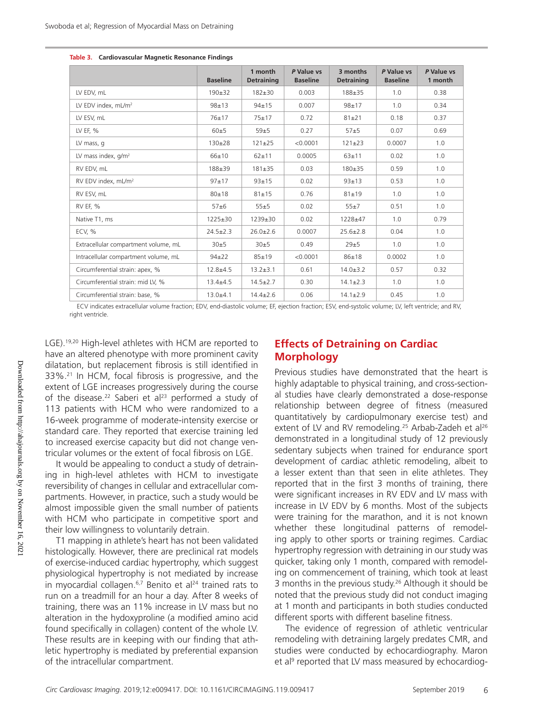|                                      | <b>Baseline</b> | 1 month<br><b>Detraining</b> | P Value vs<br><b>Baseline</b> | 3 months<br><b>Detraining</b> | P Value vs<br><b>Baseline</b> | P Value vs<br>1 month |
|--------------------------------------|-----------------|------------------------------|-------------------------------|-------------------------------|-------------------------------|-----------------------|
| LV EDV, mL                           | $190+32$        | $182 + 30$                   | 0.003                         | $188 + 35$                    | 1.0                           | 0.38                  |
| LV EDV index, mL/m <sup>2</sup>      | $98 + 13$       | $94 \pm 15$                  | 0.007                         | $98 + 17$                     | 1.0                           | 0.34                  |
| LV ESV, mL                           | $76 + 17$       | $75 + 17$                    | 0.72                          | $81 + 21$                     | 0.18                          | 0.37                  |
| LV EF, %                             | 60±5            | 59±5                         | 0.27                          | $57 + 5$                      | 0.07                          | 0.69                  |
| LV mass, q                           | $130+28$        | $121 \pm 25$                 | < 0.0001                      | $121 \pm 23$                  | 0.0007                        | 1.0                   |
| LV mass index, $q/m^2$               | 66±10           | $62 + 11$                    | 0.0005                        | $63 + 11$                     | 0.02                          | 1.0                   |
| RV EDV, mL                           | 188±39          | $181 + 35$                   | 0.03                          | 180±35                        | 0.59                          | 1.0                   |
| RV EDV index, mL/m <sup>2</sup>      | $97+17$         | $93 + 15$                    | 0.02                          | $93 + 13$                     | 0.53                          | 1.0                   |
| RV ESV, mL                           | $80 + 18$       | $81 + 15$                    | 0.76                          | $81 + 19$                     | 1.0                           | 1.0                   |
| RV EF, %                             | $57 + 6$        | 55±5                         | 0.02                          | 55±7                          | 0.51                          | 1.0                   |
| Native T1, ms                        | $1225 \pm 30$   | $1239 \pm 30$                | 0.02                          | $1228 + 47$                   | 1.0                           | 0.79                  |
| ECV, %                               | $24.5 \pm 2.3$  | $26.0 \pm 2.6$               | 0.0007                        | $25.6 \pm 2.8$                | 0.04                          | 1.0                   |
| Extracellular compartment volume, mL | 30±5            | 30±5                         | 0.49                          | 29±5                          | 1.0                           | 1.0                   |
| Intracellular compartment volume, mL | $94\pm 22$      | $85 + 19$                    | < 0.0001                      | $86 + 18$                     | 0.0002                        | 1.0                   |
| Circumferential strain: apex, %      | $12.8 + 4.5$    | $13.2 \pm 3.1$               | 0.61                          | $14.0 \pm 3.2$                | 0.57                          | 0.32                  |
| Circumferential strain: mid LV, %    | $13.4 + 4.5$    | $14.5 \pm 2.7$               | 0.30                          | $14.1 \pm 2.3$                | 1.0                           | 1.0                   |
| Circumferential strain: base, %      | $13.0 + 4.1$    | $14.4 \pm 2.6$               | 0.06                          | $14.1 \pm 2.9$                | 0.45                          | 1.0                   |

|  | Table 3. Cardiovascular Magnetic Resonance Findings |  |  |  |
|--|-----------------------------------------------------|--|--|--|
|--|-----------------------------------------------------|--|--|--|

ECV indicates extracellular volume fraction; EDV, end-diastolic volume; EF, ejection fraction; ESV, end-systolic volume; LV, left ventricle; and RV, right ventricle.

LGE).<sup>19,20</sup> High-level athletes with HCM are reported to have an altered phenotype with more prominent cavity dilatation, but replacement fibrosis is still identified in 33%.21 In HCM, focal fibrosis is progressive, and the extent of LGE increases progressively during the course of the disease.<sup>22</sup> Saberi et al<sup>23</sup> performed a study of 113 patients with HCM who were randomized to a 16-week programme of moderate-intensity exercise or standard care. They reported that exercise training led to increased exercise capacity but did not change ventricular volumes or the extent of focal fibrosis on LGE.

It would be appealing to conduct a study of detraining in high-level athletes with HCM to investigate reversibility of changes in cellular and extracellular compartments. However, in practice, such a study would be almost impossible given the small number of patients with HCM who participate in competitive sport and their low willingness to voluntarily detrain.

T1 mapping in athlete's heart has not been validated histologically. However, there are preclinical rat models of exercise-induced cardiac hypertrophy, which suggest physiological hypertrophy is not mediated by increase in myocardial collagen.<sup>6,7</sup> Benito et al<sup>24</sup> trained rats to run on a treadmill for an hour a day. After 8 weeks of training, there was an 11% increase in LV mass but no alteration in the hydoxyproline (a modified amino acid found specifically in collagen) content of the whole LV. These results are in keeping with our finding that athletic hypertrophy is mediated by preferential expansion of the intracellular compartment.

#### **Effects of Detraining on Cardiac Morphology**

Previous studies have demonstrated that the heart is highly adaptable to physical training, and cross-sectional studies have clearly demonstrated a dose-response relationship between degree of fitness (measured quantitatively by cardiopulmonary exercise test) and extent of LV and RV remodeling.<sup>25</sup> Arbab-Zadeh et al<sup>26</sup> demonstrated in a longitudinal study of 12 previously sedentary subjects when trained for endurance sport development of cardiac athletic remodeling, albeit to a lesser extent than that seen in elite athletes. They reported that in the first 3 months of training, there were significant increases in RV EDV and LV mass with increase in LV EDV by 6 months. Most of the subjects were training for the marathon, and it is not known whether these longitudinal patterns of remodeling apply to other sports or training regimes. Cardiac hypertrophy regression with detraining in our study was quicker, taking only 1 month, compared with remodeling on commencement of training, which took at least 3 months in the previous study.<sup>26</sup> Although it should be noted that the previous study did not conduct imaging at 1 month and participants in both studies conducted different sports with different baseline fitness.

The evidence of regression of athletic ventricular remodeling with detraining largely predates CMR, and studies were conducted by echocardiography. Maron et al<sup>9</sup> reported that LV mass measured by echocardiog-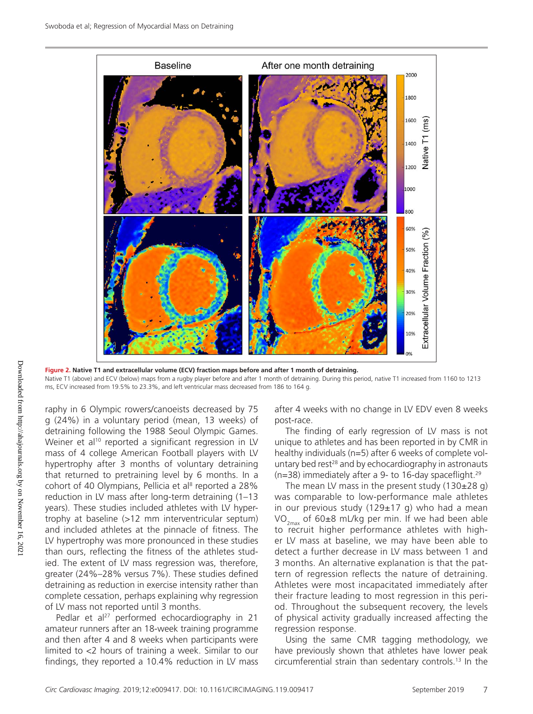

**Figure 2. Native T1 and extracellular volume (ECV) fraction maps before and after 1 month of detraining.** Native T1 (above) and ECV (below) maps from a rugby player before and after 1 month of detraining. During this period, native T1 increased from 1160 to 1213 ms, ECV increased from 19.5% to 23.3%, and left ventricular mass decreased from 186 to 164 g.

raphy in 6 Olympic rowers/canoeists decreased by 75 g (24%) in a voluntary period (mean, 13 weeks) of detraining following the 1988 Seoul Olympic Games. Weiner et al<sup>10</sup> reported a significant regression in LV mass of 4 college American Football players with LV hypertrophy after 3 months of voluntary detraining that returned to pretraining level by 6 months. In a cohort of 40 Olympians, Pellicia et al<sup>s</sup> reported a 28% reduction in LV mass after long-term detraining (1–13 years). These studies included athletes with LV hypertrophy at baseline (>12 mm interventricular septum) and included athletes at the pinnacle of fitness. The LV hypertrophy was more pronounced in these studies than ours, reflecting the fitness of the athletes studied. The extent of LV mass regression was, therefore, greater (24%–28% versus 7%). These studies defined detraining as reduction in exercise intensity rather than complete cessation, perhaps explaining why regression of LV mass not reported until 3 months.

Pedlar et al<sup>27</sup> performed echocardiography in 21 amateur runners after an 18-week training programme and then after 4 and 8 weeks when participants were limited to <2 hours of training a week. Similar to our findings, they reported a 10.4% reduction in LV mass after 4 weeks with no change in LV EDV even 8 weeks post-race.

The finding of early regression of LV mass is not unique to athletes and has been reported in by CMR in healthy individuals (n=5) after 6 weeks of complete voluntary bed rest $28$  and by echocardiography in astronauts  $(n=38)$  immediately after a 9- to 16-day spaceflight.<sup>29</sup>

The mean LV mass in the present study  $(130\pm28 \text{ q})$ was comparable to low-performance male athletes in our previous study ( $129±17$  g) who had a mean  $VO_{2max}$  of 60±8 mL/kg per min. If we had been able to recruit higher performance athletes with higher LV mass at baseline, we may have been able to detect a further decrease in LV mass between 1 and 3 months. An alternative explanation is that the pattern of regression reflects the nature of detraining. Athletes were most incapacitated immediately after their fracture leading to most regression in this period. Throughout the subsequent recovery, the levels of physical activity gradually increased affecting the regression response.

Using the same CMR tagging methodology, we have previously shown that athletes have lower peak circumferential strain than sedentary controls.13 In the

Downloaded from http://ahajournals.org by on November 16, 2021

Downloaded from http://ahajournals.org by on November 16, 202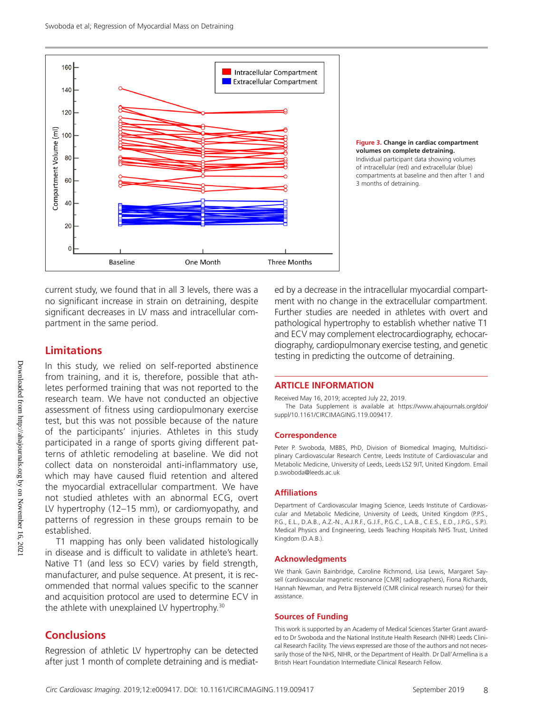



compartments at baseline and then after 1 and 3 months of detraining.

current study, we found that in all 3 levels, there was a no significant increase in strain on detraining, despite significant decreases in LV mass and intracellular compartment in the same period.

## **Limitations**

In this study, we relied on self-reported abstinence from training, and it is, therefore, possible that athletes performed training that was not reported to the research team. We have not conducted an objective assessment of fitness using cardiopulmonary exercise test, but this was not possible because of the nature of the participants' injuries. Athletes in this study participated in a range of sports giving different patterns of athletic remodeling at baseline. We did not collect data on nonsteroidal anti-inflammatory use, which may have caused fluid retention and altered the myocardial extracellular compartment. We have not studied athletes with an abnormal ECG, overt LV hypertrophy (12–15 mm), or cardiomyopathy, and patterns of regression in these groups remain to be established.

T1 mapping has only been validated histologically in disease and is difficult to validate in athlete's heart. Native T1 (and less so ECV) varies by field strength, manufacturer, and pulse sequence. At present, it is recommended that normal values specific to the scanner and acquisition protocol are used to determine ECV in the athlete with unexplained LV hypertrophy.<sup>30</sup>

## **Conclusions**

Regression of athletic LV hypertrophy can be detected after just 1 month of complete detraining and is mediated by a decrease in the intracellular myocardial compartment with no change in the extracellular compartment. Further studies are needed in athletes with overt and pathological hypertrophy to establish whether native T1 and ECV may complement electrocardiography, echocardiography, cardiopulmonary exercise testing, and genetic testing in predicting the outcome of detraining.

#### **ARTICLE INFORMATION**

Received May 16, 2019; accepted July 22, 2019.

The Data Supplement is available at https://www.ahajournals.org/doi/ suppl/10.1161/CIRCIMAGING.119.009417.

#### **Correspondence**

Peter P. Swoboda, MBBS, PhD, Division of Biomedical Imaging, Multidisciplinary Cardiovascular Research Centre, Leeds Institute of Cardiovascular and Metabolic Medicine, University of Leeds, Leeds LS2 9JT, United Kingdom. Email [p.swoboda@leeds.ac.uk](mailto:p.swoboda@leeds.ac.uk)

#### **Affiliations**

Department of Cardiovascular Imaging Science, Leeds Institute of Cardiovascular and Metabolic Medicine, University of Leeds, United Kingdom (P.P.S., P.G., E.L., D.A.B., A.Z.-N., A.J.R.F., G.J.F., P.G.C., L.A.B., C.E.S., E.D., J.P.G., S.P.). Medical Physics and Engineering, Leeds Teaching Hospitals NHS Trust, United Kingdom (D.A.B.).

#### **Acknowledgments**

We thank Gavin Bainbridge, Caroline Richmond, Lisa Lewis, Margaret Saysell (cardiovascular magnetic resonance [CMR] radiographers), Fiona Richards, Hannah Newman, and Petra Bijsterveld (CMR clinical research nurses) for their assistance.

#### **Sources of Funding**

This work is supported by an Academy of Medical Sciences Starter Grant awarded to Dr Swoboda and the National Institute Health Research (NIHR) Leeds Clinical Research Facility. The views expressed are those of the authors and not necessarily those of the NHS, NIHR, or the Department of Health. Dr Dall'Armellina is a British Heart Foundation Intermediate Clinical Research Fellow.